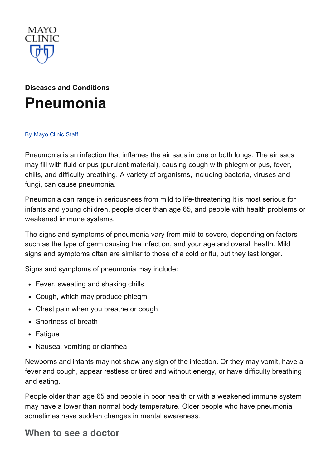

# Diseases and [Conditions](http://www.mayoclinic.org/diseases-conditions) [Pneumonia](http://www.mayoclinic.org/diseases-conditions/pneumonia/basics/definition/con-20020032)

#### By [Mayo](http://www.mayoclinic.org/about-this-site/welcome) Clinic Staff

Pneumonia is an infection that inflames the air sacs in one or both lungs. The air sacs may fill with fluid or pus (purulent material), causing cough with phlegm or pus, fever, chills, and difficulty breathing. A variety of organisms, including bacteria, viruses and fungi, can cause pneumonia.

Pneumonia can range in seriousness from mild to life-threatening It is most serious for infants and young children, people older than age 65, and people with health problems or weakened immune systems.

The signs and symptoms of pneumonia vary from mild to severe, depending on factors such as the type of germ causing the infection, and your age and overall health. Mild signs and symptoms often are similar to those of a cold or flu, but they last longer.

Signs and symptoms of pneumonia may include:

- Fever, sweating and shaking chills
- Cough, which may produce phlegm
- Chest pain when you breathe or cough
- Shortness of breath
- Fatigue
- Nausea, vomiting or diarrhea

Newborns and infants may not show any sign of the infection. Or they may vomit, have a fever and cough, appear restless or tired and without energy, or have difficulty breathing and eating.

People older than age 65 and people in poor health or with a weakened immune system may have a lower than normal body temperature. Older people who have pneumonia sometimes have sudden changes in mental awareness.

#### When to see a doctor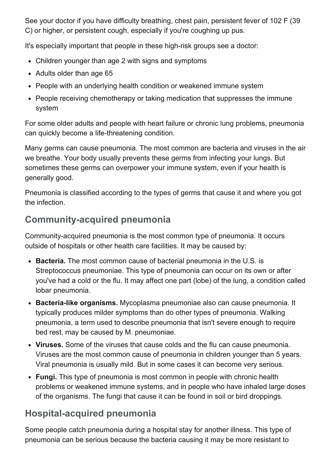See your doctor if you have difficulty breathing, chest pain, persistent fever of 102 F (39 C) or higher, or persistent cough, especially if you're coughing up pus.

It's especially important that people in these high-risk groups see a doctor:

- Children younger than age 2 with signs and symptoms
- Adults older than age 65
- People with an underlying health condition or weakened immune system
- People receiving chemotherapy or taking medication that suppresses the immune system

For some older adults and people with heart failure or chronic lung problems, pneumonia can quickly become a life-threatening condition.

Many germs can cause pneumonia. The most common are bacteria and viruses in the air we breathe. Your body usually prevents these germs from infecting your lungs. But sometimes these germs can overpower your immune system, even if your health is generally good.

Pneumonia is classified according to the types of germs that cause it and where you got the infection.

# **Community-acquired pneumonia**

Community-acquired pneumonia is the most common type of pneumonia. It occurs outside of hospitals or other health care facilities. It may be caused by:

- Bacteria. The most common cause of bacterial pneumonia in the U.S. is Streptococcus pneumoniae. This type of pneumonia can occur on its own or after you've had a cold or the flu. It may affect one part (lobe) of the lung, a condition called lobar pneumonia.
- Bacteria-like organisms. Mycoplasma pneumoniae also can cause pneumonia. It typically produces milder symptoms than do other types of pneumonia. Walking pneumonia, a term used to describe pneumonia that isn't severe enough to require bed rest, may be caused by M. pneumoniae.
- Viruses. Some of the viruses that cause colds and the flu can cause pneumonia. Viruses are the most common cause of pneumonia in children younger than 5 years. Viral pneumonia is usually mild. But in some cases it can become very serious.
- Fungi. This type of pneumonia is most common in people with chronic health problems or weakened immune systems, and in people who have inhaled large doses of the organisms. The fungi that cause it can be found in soil or bird droppings.

# Hospital-acquired pneumonia

Some people catch pneumonia during a hospital stay for another illness. This type of pneumonia can be serious because the bacteria causing it may be more resistant to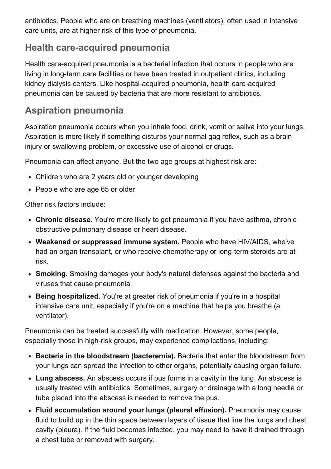antibiotics. People who are on breathing machines (ventilators), often used in intensive care units, are at higher risk of this type of pneumonia.

### Health care-acquired pneumonia

Health care-acquired pneumonia is a bacterial infection that occurs in people who are living in long-term care facilities or have been treated in outpatient clinics, including kidney dialysis centers. Like hospital-acquired pneumonia, health care-acquired pneumonia can be caused by bacteria that are more resistant to antibiotics.

# Aspiration pneumonia

Aspiration pneumonia occurs when you inhale food, drink, vomit or saliva into your lungs. Aspiration is more likely if something disturbs your normal gag reflex, such as a brain injury or swallowing problem, or excessive use of alcohol or drugs.

Pneumonia can affect anyone. But the two age groups at highest risk are:

- Children who are 2 years old or younger developing
- People who are age 65 or older

Other risk factors include:

- Chronic disease. You're more likely to get pneumonia if you have asthma, chronic obstructive pulmonary disease or heart disease.
- Weakened or suppressed immune system. People who have HIV/AIDS, who've had an organ transplant, or who receive chemotherapy or long-term steroids are at risk.
- Smoking. Smoking damages your body's natural defenses against the bacteria and viruses that cause pneumonia.
- Being hospitalized. You're at greater risk of pneumonia if you're in a hospital intensive care unit, especially if you're on a machine that helps you breathe (a ventilator).

Pneumonia can be treated successfully with medication. However, some people, especially those in high-risk groups, may experience complications, including:

- Bacteria in the bloodstream (bacteremia). Bacteria that enter the bloodstream from your lungs can spread the infection to other organs, potentially causing organ failure.
- Lung abscess. An abscess occurs if pus forms in a cavity in the lung. An abscess is usually treated with antibiotics. Sometimes, surgery or drainage with a long needle or tube placed into the abscess is needed to remove the pus.
- Fluid accumulation around your lungs (pleural effusion). Pneumonia may cause fluid to build up in the thin space between layers of tissue that line the lungs and chest cavity (pleura). If the fluid becomes infected, you may need to have it drained through a chest tube or removed with surgery.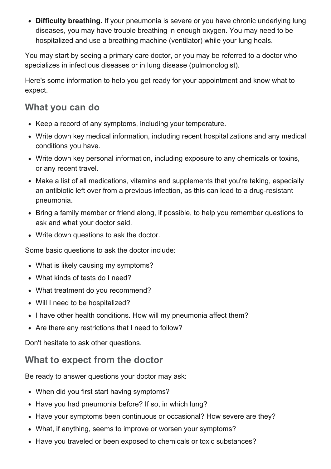• Difficulty breathing. If your pneumonia is severe or you have chronic underlying lung diseases, you may have trouble breathing in enough oxygen. You may need to be hospitalized and use a breathing machine (ventilator) while your lung heals.

You may start by seeing a primary care doctor, or you may be referred to a doctor who specializes in infectious diseases or in lung disease (pulmonologist).

Here's some information to help you get ready for your appointment and know what to expect.

# What you can do

- Keep a record of any symptoms, including your temperature.
- Write down key medical information, including recent hospitalizations and any medical conditions you have.
- Write down key personal information, including exposure to any chemicals or toxins, or any recent travel.
- Make a list of all medications, vitamins and supplements that you're taking, especially an antibiotic left over from a previous infection, as this can lead to a drug-resistant pneumonia.
- Bring a family member or friend along, if possible, to help you remember questions to ask and what your doctor said.
- Write down questions to ask the doctor.

Some basic questions to ask the doctor include:

- What is likely causing my symptoms?
- What kinds of tests do I need?
- What treatment do you recommend?
- Will I need to be hospitalized?
- I have other health conditions. How will my pneumonia affect them?
- Are there any restrictions that I need to follow?

Don't hesitate to ask other questions.

# What to expect from the doctor

Be ready to answer questions your doctor may ask:

- When did you first start having symptoms?
- Have you had pneumonia before? If so, in which lung?
- Have your symptoms been continuous or occasional? How severe are they?
- What, if anything, seems to improve or worsen your symptoms?
- Have you traveled or been exposed to chemicals or toxic substances?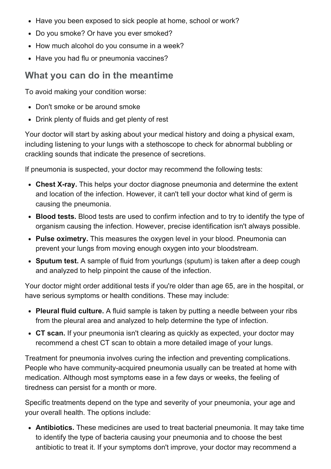- Have you been exposed to sick people at home, school or work?
- Do you smoke? Or have you ever smoked?
- How much alcohol do you consume in a week?
- Have you had flu or pneumonia vaccines?

#### What you can do in the meantime

To avoid making your condition worse:

- Don't smoke or be around smoke
- Drink plenty of fluids and get plenty of rest

Your doctor will start by asking about your medical history and doing a physical exam, including listening to your lungs with a stethoscope to check for abnormal bubbling or crackling sounds that indicate the presence of secretions.

If pneumonia is suspected, your doctor may recommend the following tests:

- Chest X-ray. This helps your doctor diagnose pneumonia and determine the extent and location of the infection. However, it can't tell your doctor what kind of germ is causing the pneumonia.
- Blood tests. Blood tests are used to confirm infection and to try to identify the type of organism causing the infection. However, precise identification isn't always possible.
- Pulse oximetry. This measures the oxygen level in your blood. Pneumonia can prevent your lungs from moving enough oxygen into your bloodstream.
- Sputum test. A sample of fluid from yourlungs (sputum) is taken after a deep cough and analyzed to help pinpoint the cause of the infection.

Your doctor might order additional tests if you're older than age 65, are in the hospital, or have serious symptoms or health conditions. These may include:

- Pleural fluid culture. A fluid sample is taken by putting a needle between your ribs from the pleural area and analyzed to help determine the type of infection.
- CT scan. If your pneumonia isn't clearing as quickly as expected, your doctor may recommend a chest CT scan to obtain a more detailed image of your lungs.

Treatment for pneumonia involves curing the infection and preventing complications. People who have community-acquired pneumonia usually can be treated at home with medication. Although most symptoms ease in a few days or weeks, the feeling of tiredness can persist for a month or more.

Specific treatments depend on the type and severity of your pneumonia, your age and your overall health. The options include:

Antibiotics. These medicines are used to treat bacterial pneumonia. It may take time to identify the type of bacteria causing your pneumonia and to choose the best antibiotic to treat it. If your symptoms don't improve, your doctor may recommend a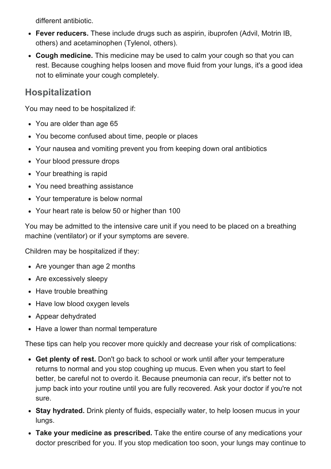different antibiotic.

- Fever reducers. These include drugs such as aspirin, ibuprofen (Advil, Motrin IB, others) and acetaminophen (Tylenol, others).
- Cough medicine. This medicine may be used to calm your cough so that you can rest. Because coughing helps loosen and move fluid from your lungs, it's a good idea not to eliminate your cough completely.

## Hospitalization

You may need to be hospitalized if:

- You are older than age 65
- You become confused about time, people or places
- Your nausea and vomiting prevent you from keeping down oral antibiotics
- Your blood pressure drops
- Your breathing is rapid
- You need breathing assistance
- Your temperature is below normal
- Your heart rate is below 50 or higher than 100

You may be admitted to the intensive care unit if you need to be placed on a breathing machine (ventilator) or if your symptoms are severe.

Children may be hospitalized if they:

- Are younger than age 2 months
- Are excessively sleepy
- Have trouble breathing
- Have low blood oxygen levels
- Appear dehydrated
- Have a lower than normal temperature

These tips can help you recover more quickly and decrease your risk of complications:

- Get plenty of rest. Don't go back to school or work until after your temperature returns to normal and you stop coughing up mucus. Even when you start to feel better, be careful not to overdo it. Because pneumonia can recur, it's better not to jump back into your routine until you are fully recovered. Ask your doctor if you're not sure.
- Stay hydrated. Drink plenty of fluids, especially water, to help loosen mucus in your lungs.
- Take your medicine as prescribed. Take the entire course of any medications your doctor prescribed for you. If you stop medication too soon, your lungs may continue to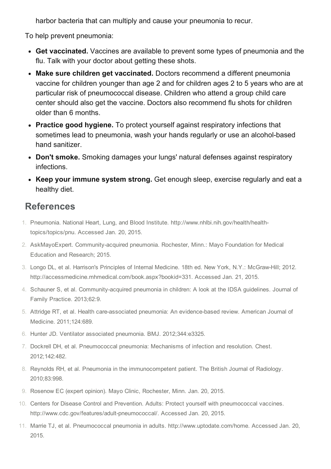harbor bacteria that can multiply and cause your pneumonia to recur.

To help prevent pneumonia:

- Get vaccinated. Vaccines are available to prevent some types of pneumonia and the flu. Talk with your doctor about getting these shots.
- Make sure children get vaccinated. Doctors recommend a different pneumonia vaccine for children younger than age 2 and for children ages 2 to 5 years who are at particular risk of pneumococcal disease. Children who attend a group child care center should also get the vaccine. Doctors also recommend flu shots for children older than 6 months.
- Practice good hygiene. To protect yourself against respiratory infections that sometimes lead to pneumonia, wash your hands regularly or use an alcohol-based hand sanitizer.
- Don't smoke. Smoking damages your lungs' natural defenses against respiratory infections.
- Keep your immune system strong. Get enough sleep, exercise regularly and eat a healthy diet.

### References

- 1. Pneumonia. National Heart, Lung, and Blood Institute. http://www.nhlbi.nih.gov/health/healthtopics/topics/pnu. Accessed Jan. 20, 2015.
- 2. AskMayoExpert. Community-acquired pneumonia. Rochester, Minn.: Mayo Foundation for Medical Education and Research; 2015.
- 3. Longo DL, et al. Harrison's Principles of Internal Medicine. 18th ed. New York, N.Y.: McGrawHill; 2012. http://accessmedicine.mhmedical.com/book.aspx?bookid=331. Accessed Jan. 21, 2015.
- 4. Schauner S, et al. Community-acquired pneumonia in children: A look at the IDSA guidelines. Journal of Family Practice. 2013;62:9.
- 5. Attridge RT, et al. Health care-associated pneumonia: An evidence-based review. American Journal of Medicine. 2011;124:689.
- 6. Hunter JD. Ventilator associated pneumonia. BMJ. 2012;344:e3325.
- 7. Dockrell DH, et al. Pneumococcal pneumonia: Mechanisms of infection and resolution. Chest. 2012;142:482.
- 8. Reynolds RH, et al. Pneumonia in the immunocompetent patient. The British Journal of Radiology. 2010;83:998.
- 9. Rosenow EC (expert opinion). Mayo Clinic, Rochester, Minn. Jan. 20, 2015.
- 10. Centers for Disease Control and Prevention. Adults: Protect yourself with pneumococcal vaccines. http://www.cdc.gov/features/adult-pneumococcal/. Accessed Jan. 20, 2015.
- 11. Marrie TJ, et al. Pneumococcal pneumonia in adults. http://www.uptodate.com/home. Accessed Jan. 20, 2015.